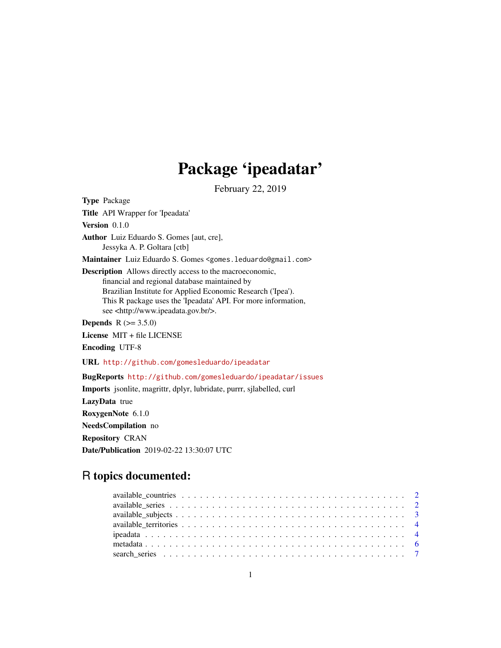## Package 'ipeadatar'

February 22, 2019

Type Package Title API Wrapper for 'Ipeadata' Version 0.1.0 Author Luiz Eduardo S. Gomes [aut, cre], Jessyka A. P. Goltara [ctb] Maintainer Luiz Eduardo S. Gomes <gomes.leduardo@gmail.com> Description Allows directly access to the macroeconomic, financial and regional database maintained by Brazilian Institute for Applied Economic Research ('Ipea'). This R package uses the 'Ipeadata' API. For more information, see <http://www.ipeadata.gov.br/>. **Depends** R  $(>= 3.5.0)$ License MIT + file LICENSE Encoding UTF-8 URL <http://github.com/gomesleduardo/ipeadatar> BugReports <http://github.com/gomesleduardo/ipeadatar/issues> Imports jsonlite, magrittr, dplyr, lubridate, purrr, sjlabelled, curl LazyData true RoxygenNote 6.1.0 NeedsCompilation no

Repository CRAN Date/Publication 2019-02-22 13:30:07 UTC

## R topics documented: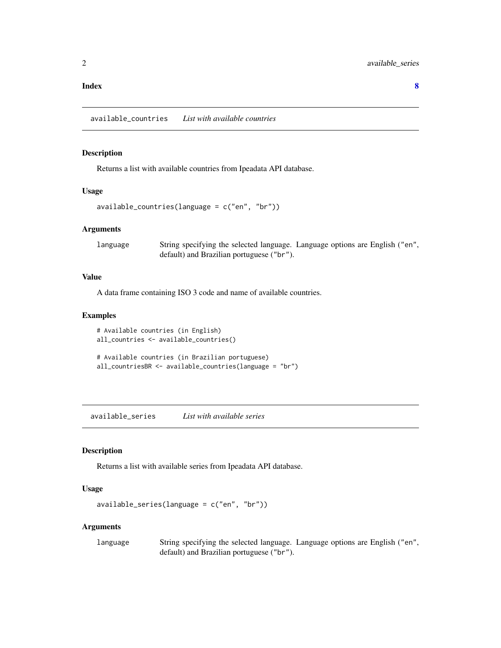#### <span id="page-1-0"></span>**Index** [8](#page-7-0) **8**

available\_countries *List with available countries*

## Description

Returns a list with available countries from Ipeadata API database.

#### Usage

```
available_countries(language = c("en", "br"))
```
## Arguments

language String specifying the selected language. Language options are English ("en", default) and Brazilian portuguese ("br").

## Value

A data frame containing ISO 3 code and name of available countries.

## Examples

```
# Available countries (in English)
all_countries <- available_countries()
```

```
# Available countries (in Brazilian portuguese)
all_countriesBR <- available_countries(language = "br")
```
<span id="page-1-1"></span>available\_series *List with available series*

## Description

Returns a list with available series from Ipeadata API database.

## Usage

```
available_series(language = c("en", "br"))
```
## Arguments

language String specifying the selected language. Language options are English ("en", default) and Brazilian portuguese ("br").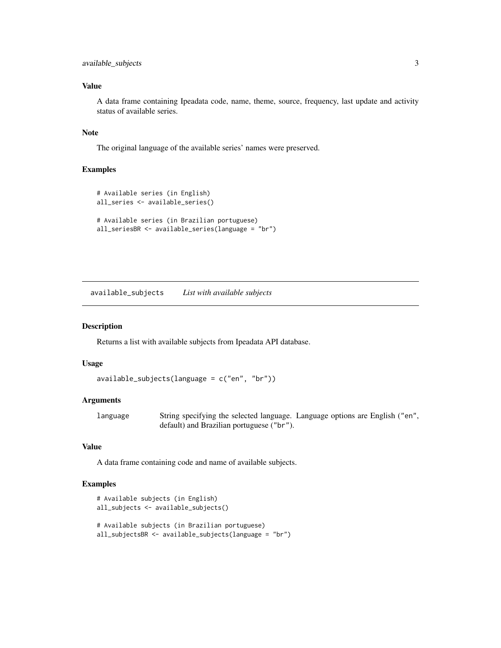## <span id="page-2-0"></span>available\_subjects 3

## Value

A data frame containing Ipeadata code, name, theme, source, frequency, last update and activity status of available series.

## Note

The original language of the available series' names were preserved.

## Examples

```
# Available series (in English)
all_series <- available_series()
# Available series (in Brazilian portuguese)
all_seriesBR <- available_series(language = "br")
```
<span id="page-2-1"></span>available\_subjects *List with available subjects*

#### Description

Returns a list with available subjects from Ipeadata API database.

## Usage

```
available_subjects(language = c("en", "br"))
```
## Arguments

language String specifying the selected language. Language options are English ("en", default) and Brazilian portuguese ("br").

#### Value

A data frame containing code and name of available subjects.

```
# Available subjects (in English)
all_subjects <- available_subjects()
# Available subjects (in Brazilian portuguese)
all_subjectsBR <- available_subjects(language = "br")
```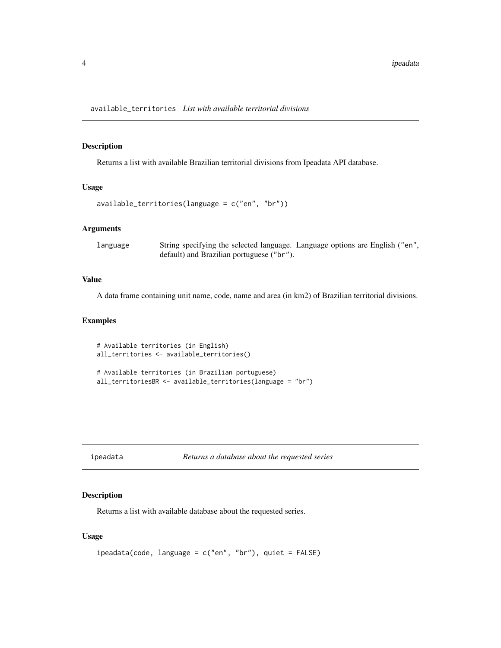<span id="page-3-1"></span><span id="page-3-0"></span>available\_territories *List with available territorial divisions*

#### Description

Returns a list with available Brazilian territorial divisions from Ipeadata API database.

#### Usage

```
available_territories(language = c("en", "br"))
```
## Arguments

language String specifying the selected language. Language options are English ("en", default) and Brazilian portuguese ("br").

## Value

A data frame containing unit name, code, name and area (in km2) of Brazilian territorial divisions.

## Examples

```
# Available territories (in English)
all_territories <- available_territories()
# Available territories (in Brazilian portuguese)
all_territoriesBR <- available_territories(language = "br")
```
ipeadata *Returns a database about the requested series*

## Description

Returns a list with available database about the requested series.

## Usage

```
ipeadata(code, language = c("en", "br"), quiet = FALSE)
```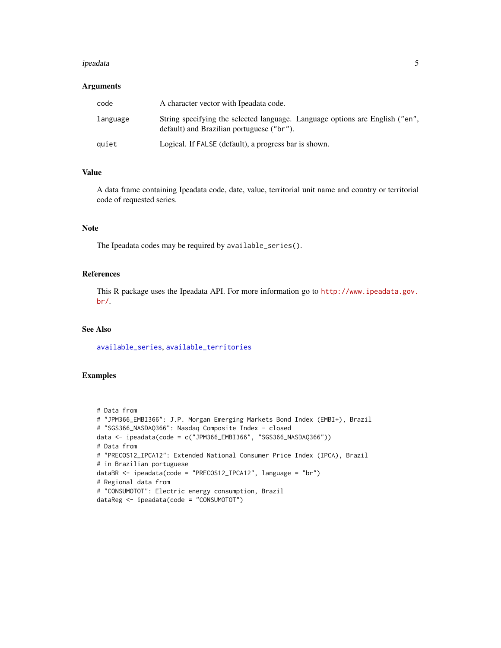#### <span id="page-4-0"></span>ipeadata 5

## Arguments

| code     | A character vector with Ipeadata code.                                                                                    |
|----------|---------------------------------------------------------------------------------------------------------------------------|
| language | String specifying the selected language. Language options are English ("en",<br>default) and Brazilian portuguese ("br"). |
| quiet    | Logical. If FALSE (default), a progress bar is shown.                                                                     |

## Value

A data frame containing Ipeadata code, date, value, territorial unit name and country or territorial code of requested series.

#### Note

The Ipeadata codes may be required by available\_series().

## References

This R package uses the Ipeadata API. For more information go to [http://www.ipeadata.gov.](http://www.ipeadata.gov.br/) [br/](http://www.ipeadata.gov.br/).

## See Also

[available\\_series](#page-1-1), [available\\_territories](#page-3-1)

```
# Data from
# "JPM366_EMBI366": J.P. Morgan Emerging Markets Bond Index (EMBI+), Brazil
# "SGS366_NASDAQ366": Nasdaq Composite Index - closed
data <- ipeadata(code = c("JPM366_EMBI366", "SGS366_NASDAQ366"))
# Data from
# "PRECOS12_IPCA12": Extended National Consumer Price Index (IPCA), Brazil
# in Brazilian portuguese
dataBR <- ipeadata(code = "PRECOS12_IPCA12", language = "br")
# Regional data from
# "CONSUMOTOT": Electric energy consumption, Brazil
dataReg <- ipeadata(code = "CONSUMOTOT")
```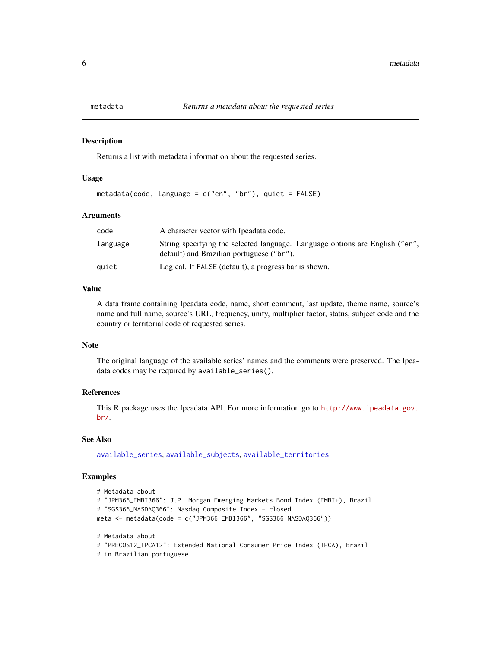<span id="page-5-0"></span>

#### Description

Returns a list with metadata information about the requested series.

#### Usage

```
metadata(code, language = c("en", "br"), quiet = FALSE)
```
## Arguments

| code     | A character vector with Ipeadata code.                                                                                    |
|----------|---------------------------------------------------------------------------------------------------------------------------|
| language | String specifying the selected language. Language options are English ("en",<br>default) and Brazilian portuguese ("br"). |
| quiet    | Logical. If FALSE (default), a progress bar is shown.                                                                     |

#### Value

A data frame containing Ipeadata code, name, short comment, last update, theme name, source's name and full name, source's URL, frequency, unity, multiplier factor, status, subject code and the country or territorial code of requested series.

#### Note

The original language of the available series' names and the comments were preserved. The Ipeadata codes may be required by available\_series().

#### References

This R package uses the Ipeadata API. For more information go to [http://www.ipeadata.gov.](http://www.ipeadata.gov.br/) [br/](http://www.ipeadata.gov.br/).

## See Also

[available\\_series](#page-1-1), [available\\_subjects](#page-2-1), [available\\_territories](#page-3-1)

```
# Metadata about
# "JPM366_EMBI366": J.P. Morgan Emerging Markets Bond Index (EMBI+), Brazil
# "SGS366_NASDAQ366": Nasdaq Composite Index - closed
meta <- metadata(code = c("JPM366_EMBI366", "SGS366_NASDAQ366"))
# Metadata about
# "PRECOS12_IPCA12": Extended National Consumer Price Index (IPCA), Brazil
```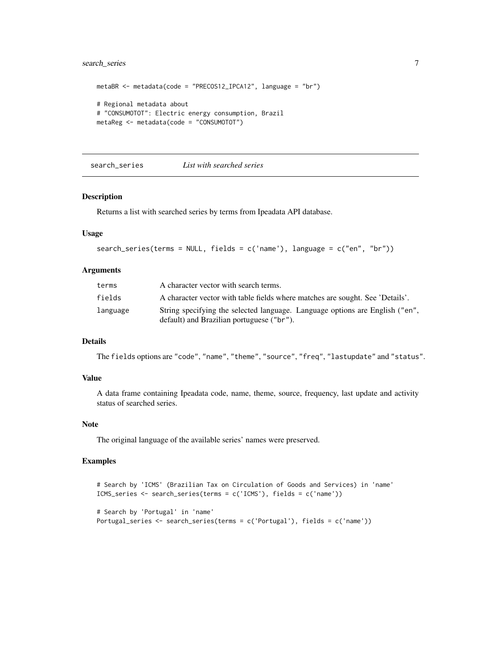## <span id="page-6-0"></span>search\_series 7

```
metaBR <- metadata(code = "PRECOS12_IPCA12", language = "br")
# Regional metadata about
# "CONSUMOTOT": Electric energy consumption, Brazil
metaReg <- metadata(code = "CONSUMOTOT")
```
search\_series *List with searched series*

#### Description

Returns a list with searched series by terms from Ipeadata API database.

## Usage

```
search_series(terms = NULL, fields = c('name'), language = c("en", "br"))
```
## Arguments

| terms    | A character vector with search terms.                                                                                     |
|----------|---------------------------------------------------------------------------------------------------------------------------|
| fields   | A character vector with table fields where matches are sought. See 'Details'.                                             |
| language | String specifying the selected language. Language options are English ("en",<br>default) and Brazilian portuguese ("br"). |

## Details

The fields options are "code", "name", "theme", "source", "freq", "lastupdate" and "status".

#### Value

A data frame containing Ipeadata code, name, theme, source, frequency, last update and activity status of searched series.

## Note

The original language of the available series' names were preserved.

```
# Search by 'ICMS' (Brazilian Tax on Circulation of Goods and Services) in 'name'
ICMS_series <- search_series(terms = c('ICMS'), fields = c('name'))
```

```
# Search by 'Portugal' in 'name'
Portugal_series <- search_series(terms = c('Portugal'), fields = c('name'))
```